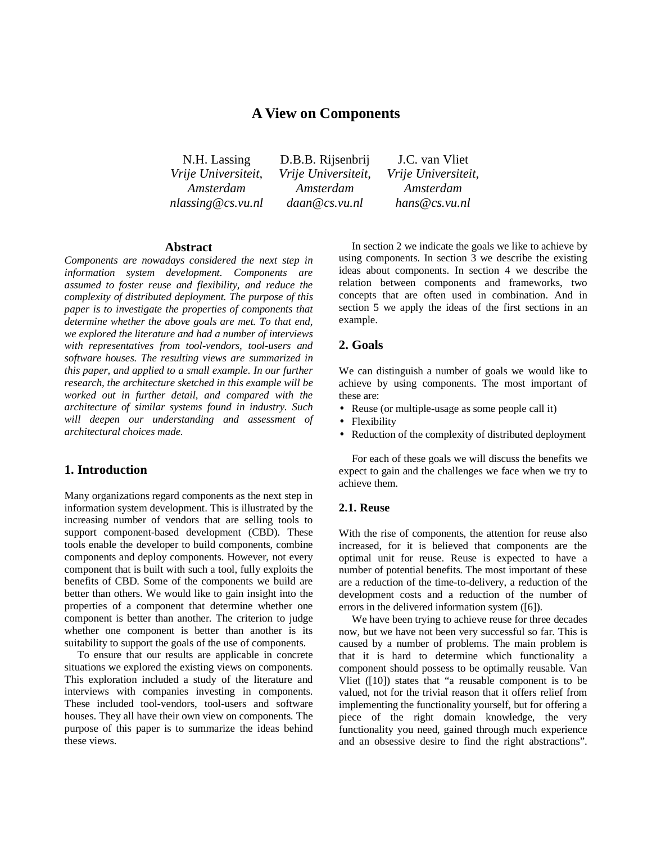# **A View on Components**

N.H. Lassing D.B.B. Rijsenbrij J.C. van Vliet *Vrije Universiteit, Amsterdam Vrije Universiteit, Amsterdam Vrije Universiteit, Amsterdam nlassing@cs.vu.nl daan@cs.vu.nl hans@cs.vu.nl*

#### **Abstract**

*Components are nowadays considered the next step in information system development. Components are assumed to foster reuse and flexibility, and reduce the complexity of distributed deployment. The purpose of this paper is to investigate the properties of components that determine whether the above goals are met. To that end, we explored the literature and had a number of interviews with representatives from tool-vendors, tool-users and software houses. The resulting views are summarized in this paper, and applied to a small example. In our further research, the architecture sketched in this example will be worked out in further detail, and compared with the architecture of similar systems found in industry. Such will deepen our understanding and assessment of architectural choices made.*

# **1.Introduction**

Many organizations regard components as the next step in information system development. This is illustrated by the increasing number of vendors that are selling tools to support component-based development (CBD). These tools enable the developer to build components, combine components and deploy components. However, not every component that is built with such a tool, fully exploits the benefits of CBD. Some of the components we build are better than others. We would like to gain insight into the properties of a component that determine whether one component is better than another. The criterion to judge whether one component is better than another is its suitability to support the goals of the use of components.

To ensure that our results are applicable in concrete situations we explored the existing views on components. This exploration included a study of the literature and interviews with companies investing in components. These included tool-vendors, tool-users and software houses. They all have their own view on components. The purpose of this paper is to summarize the ideas behind these views.

In section 2 we indicate the goals we like to achieve by using components. In section 3 we describe the existing ideas about components. In section 4 we describe the relation between components and frameworks, two concepts that are often used in combination. And in section 5 we apply the ideas of the first sections in an example.

## **2.Goals**

We can distinguish a number of goals we would like to achieve by using components. The most important of these are:

- Reuse (or multiple-usage as some people call it)
- Flexibility
- Reduction of the complexity of distributed deployment

For each of these goals we will discuss the benefits we expect to gain and the challenges we face when we try to achieve them.

## **2.1.Reuse**

With the rise of components, the attention for reuse also increased, for it is believed that components are the optimal unit for reuse. Reuse is expected to have a number of potential benefits. The most important of these are a reduction of the time-to-delivery, a reduction of the development costs and a reduction of the number of errors in the delivered information system ([6]).

We have been trying to achieve reuse for three decades now, but we have not been very successful so far. This is caused by a number of problems. The main problem is that it is hard to determine which functionality a component should possess to be optimally reusable. Van Vliet ([10]) states that "a reusable component is to be valued, not for the trivial reason that it offers relief from implementing the functionality yourself, but for offering a piece of the right domain knowledge, the very functionality you need, gained through much experience and an obsessive desire to find the right abstractions".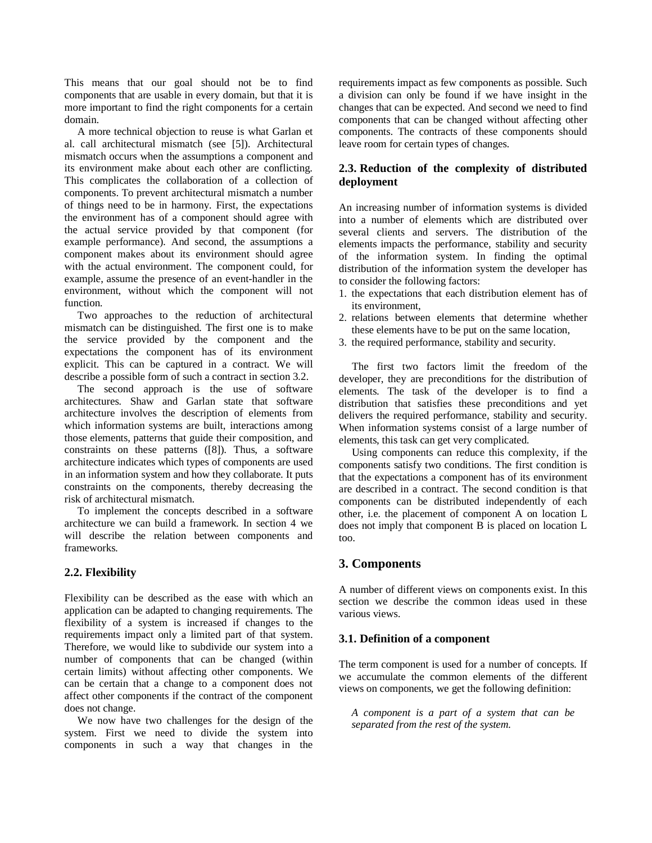This means that our goal should not be to find components that are usable in every domain, but that it is more important to find the right components for a certain domain.

A more technical objection to reuse is what Garlan et al. call architectural mismatch (see [5]). Architectural mismatch occurs when the assumptions a component and its environment make about each other are conflicting. This complicates the collaboration of a collection of components. To prevent architectural mismatch a number of things need to be in harmony. First, the expectations the environment has of a component should agree with the actual service provided by that component (for example performance). And second, the assumptions a component makes about its environment should agree with the actual environment. The component could, for example, assume the presence of an event-handler in the environment, without which the component will not function.

Two approaches to the reduction of architectural mismatch can be distinguished. The first one is to make the service provided by the component and the expectations the component has of its environment explicit. This can be captured in a contract. We will describe a possible form of such a contract in section 3.2.

The second approach is the use of software architectures. Shaw and Garlan state that software architecture involves the description of elements from which information systems are built, interactions among those elements, patterns that guide their composition, and constraints on these patterns ([8]). Thus, a software architecture indicates which types of components are used in an information system and how they collaborate. It puts constraints on the components, thereby decreasing the risk of architectural mismatch.

To implement the concepts described in a software architecture we can build a framework. In section 4 we will describe the relation between components and frameworks.

## **2.2.Flexibility**

Flexibility can be described as the ease with which an application can be adapted to changing requirements. The flexibility of a system is increased if changes to the requirements impact only a limited part of that system. Therefore, we would like to subdivide our system into a number of components that can be changed (within certain limits) without affecting other components. We can be certain that a change to a component does not affect other components if the contract of the component does not change.

We now have two challenges for the design of the system. First we need to divide the system into components in such a way that changes in the

requirements impact as few components as possible. Such a division can only be found if we have insight in the changes that can be expected. And second we need to find components that can be changed without affecting other components. The contracts of these components should leave room for certain types of changes.

# **2.3.Reduction of the complexity of distributed deployment**

An increasing number of information systems is divided into a number of elements which are distributed over several clients and servers. The distribution of the elements impacts the performance, stability and security of the information system. In finding the optimal distribution of the information system the developer has to consider the following factors:

- 1. the expectations that each distribution element has of its environment,
- 2. relations between elements that determine whether these elements have to be put on the same location,
- 3. the required performance, stability and security.

The first two factors limit the freedom of the developer, they are preconditions for the distribution of elements. The task of the developer is to find a distribution that satisfies these preconditions and yet delivers the required performance, stability and security. When information systems consist of a large number of elements, this task can get very complicated.

Using components can reduce this complexity, if the components satisfy two conditions. The first condition is that the expectations a component has of its environment are described in a contract. The second condition is that components can be distributed independently of each other, i.e. the placement of component A on location L does not imply that component B is placed on location L too.

## **3.Components**

A number of different views on components exist. In this section we describe the common ideas used in these various views.

## **3.1.Definition of a component**

The term component is used for a number of concepts. If we accumulate the common elements of the different views on components, we get the following definition:

*A component is a part of a system that can be separated from the rest of the system.*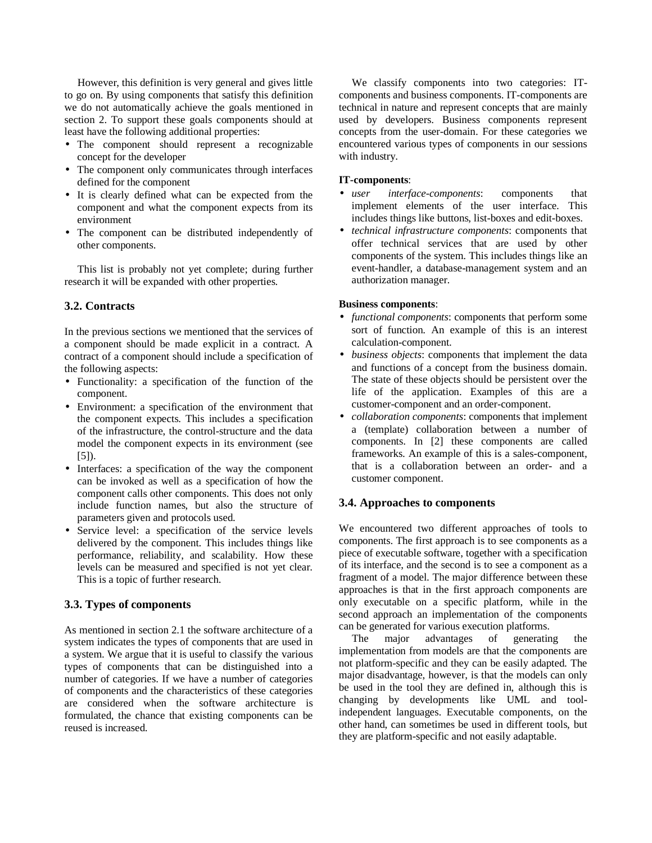However, this definition is very general and gives little to go on. By using components that satisfy this definition we do not automatically achieve the goals mentioned in section 2. To support these goals components should at least have the following additional properties:

- The component should represent a recognizable concept for the developer
- The component only communicates through interfaces defined for the component
- It is clearly defined what can be expected from the component and what the component expects from its environment
- The component can be distributed independently of other components.

This list is probably not yet complete; during further research it will be expanded with other properties.

## **3.2.Contracts**

In the previous sections we mentioned that the services of a component should be made explicit in a contract. A contract of a component should include a specification of the following aspects:

- Functionality: a specification of the function of the component.
- Environment: a specification of the environment that the component expects. This includes a specification of the infrastructure, the control-structure and the data model the component expects in its environment (see [5]).
- Interfaces: a specification of the way the component can be invoked as well as a specification of how the component calls other components. This does not only include function names, but also the structure of parameters given and protocols used.
- Service level: a specification of the service levels delivered by the component. This includes things like performance, reliability, and scalability. How these levels can be measured and specified is not yet clear. This is a topic of further research.

### **3.3.Types of components**

As mentioned in section 2.1 the software architecture of a system indicates the types of components that are used in a system. We argue that it is useful to classify the various types of components that can be distinguished into a number of categories. If we have a number of categories of components and the characteristics of these categories are considered when the software architecture is formulated, the chance that existing components can be reused is increased.

We classify components into two categories: ITcomponents and business components. IT-components are technical in nature and represent concepts that are mainly used by developers. Business components represent concepts from the user-domain. For these categories we encountered various types of components in our sessions with industry.

#### **IT-components**:

- *user interface-components*: components that implement elements of the user interface. This includes things like buttons, list-boxes and edit-boxes.
- *technical infrastructure components*: components that offer technical services that are used by other components of the system. This includes things like an event-handler, a database-management system and an authorization manager.

## **Business components**:

- *functional components*: components that perform some sort of function. An example of this is an interest calculation-component.
- *business objects*: components that implement the data and functions of a concept from the business domain. The state of these objects should be persistent over the life of the application. Examples of this are a customer-component and an order-component.
- *collaboration components*: components that implement a (template) collaboration between a number of components. In [2] these components are called frameworks. An example of this is a sales-component, that is a collaboration between an order- and a customer component.

### **3.4.Approaches to components**

We encountered two different approaches of tools to components. The first approach is to see components as a piece of executable software, together with a specification of its interface, and the second is to see a component as a fragment of a model. The major difference between these approaches is that in the first approach components are only executable on a specific platform, while in the second approach an implementation of the components can be generated for various execution platforms.

The major advantages of generating the implementation from models are that the components are not platform-specific and they can be easily adapted. The major disadvantage, however, is that the models can only be used in the tool they are defined in, although this is changing by developments like UML and toolindependent languages. Executable components, on the other hand, can sometimes be used in different tools, but they are platform-specific and not easily adaptable.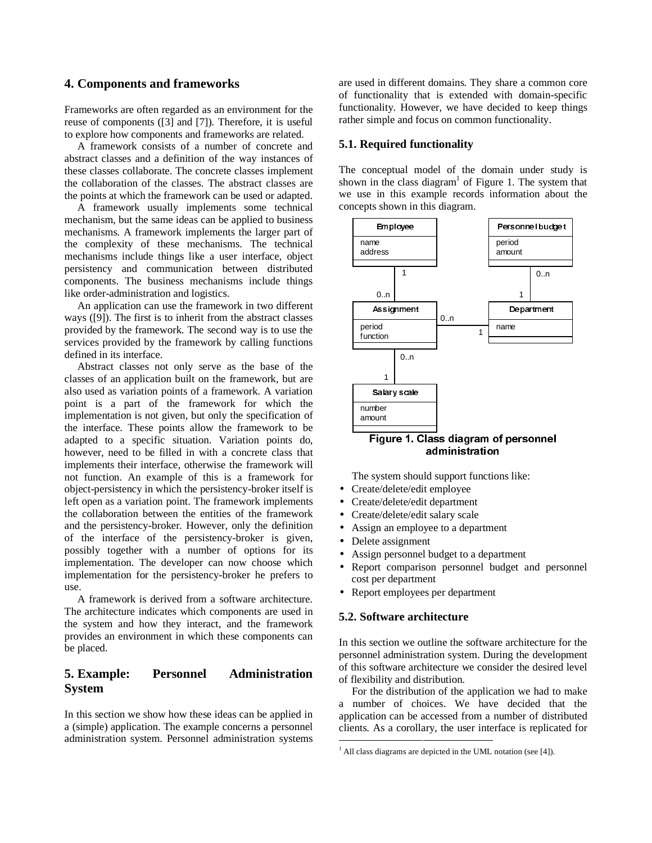### **4.Components and frameworks**

Frameworks are often regarded as an environment for the reuse of components ([3] and [7]). Therefore, it is useful to explore how components and frameworks are related.

A framework consists of a number of concrete and abstract classes and a definition of the way instances of these classes collaborate. The concrete classes implement the collaboration of the classes. The abstract classes are the points at which the framework can be used or adapted.

A framework usually implements some technical mechanism, but the same ideas can be applied to business mechanisms. A framework implements the larger part of the complexity of these mechanisms. The technical mechanisms include things like a user interface, object persistency and communication between distributed components. The business mechanisms include things like order-administration and logistics.

An application can use the framework in two different ways ([9]). The first is to inherit from the abstract classes provided by the framework. The second way is to use the services provided by the framework by calling functions defined in its interface.

Abstract classes not only serve as the base of the classes of an application built on the framework, but are also used as variation points of a framework. A variation point is a part of the framework for which the implementation is not given, but only the specification of the interface. These points allow the framework to be adapted to a specific situation. Variation points do, however, need to be filled in with a concrete class that implements their interface, otherwise the framework will not function. An example of this is a framework for object-persistency in which the persistency-broker itself is left open as a variation point. The framework implements the collaboration between the entities of the framework and the persistency-broker. However, only the definition of the interface of the persistency-broker is given, possibly together with a number of options for its implementation. The developer can now choose which implementation for the persistency-broker he prefers to use.

A framework is derived from a software architecture. The architecture indicates which components are used in the system and how they interact, and the framework provides an environment in which these components can be placed.

# **5.Example: Personnel Administration System**

In this section we show how these ideas can be applied in a (simple) application. The example concerns a personnel administration system. Personnel administration systems are used in different domains. They share a common core of functionality that is extended with domain-specific functionality. However, we have decided to keep things rather simple and focus on common functionality.

## **5.1.Required functionality**

The conceptual model of the domain under study is shown in the class diagram<sup>1</sup> of Figure 1. The system that we use in this example records information about the concepts shown in this diagram.



Figure 1. Class diagram of personnel administration

The system should support functions like:

- Create/delete/edit employee
- Create/delete/edit department
- Create/delete/edit salary scale
- Assign an employee to a department
- Delete assignment
- Assign personnel budget to a department
- Report comparison personnel budget and personnel cost per department
- Report employees per department

### **5.2.Software architecture**

In this section we outline the software architecture for the personnel administration system. During the development of this software architecture we consider the desired level of flexibility and distribution.

For the distribution of the application we had to make a number of choices. We have decided that the application can be accessed from a number of distributed clients. As a corollary, the user interface is replicated for

 $\frac{1}{1}$  $<sup>1</sup>$  All class diagrams are depicted in the UML notation (see [4]).</sup>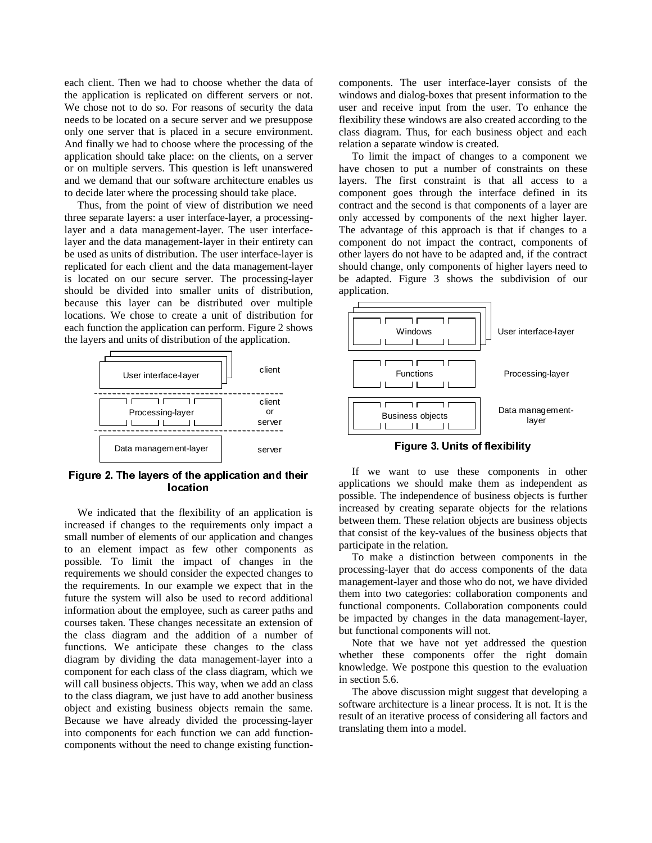each client. Then we had to choose whether the data of the application is replicated on different servers or not. We chose not to do so. For reasons of security the data needs to be located on a secure server and we presuppose only one server that is placed in a secure environment. And finally we had to choose where the processing of the application should take place: on the clients, on a server or on multiple servers. This question is left unanswered and we demand that our software architecture enables us to decide later where the processing should take place.

Thus, from the point of view of distribution we need three separate layers: a user interface-layer, a processinglayer and a data management-layer. The user interfacelayer and the data management-layer in their entirety can be used as units of distribution. The user interface-layer is replicated for each client and the data management-layer is located on our secure server. The processing-layer should be divided into smaller units of distribution, because this layer can be distributed over multiple locations. We chose to create a unit of distribution for each function the application can perform. Figure 2 shows the layers and units of distribution of the application.



Figure 2. The layers of the application and their location

We indicated that the flexibility of an application is increased if changes to the requirements only impact a small number of elements of our application and changes to an element impact as few other components as possible. To limit the impact of changes in the requirements we should consider the expected changes to the requirements. In our example we expect that in the future the system will also be used to record additional information about the employee, such as career paths and courses taken. These changes necessitate an extension of the class diagram and the addition of a number of functions. We anticipate these changes to the class diagram by dividing the data management-layer into a component for each class of the class diagram, which we will call business objects. This way, when we add an class to the class diagram, we just have to add another business object and existing business objects remain the same. Because we have already divided the processing-layer into components for each function we can add functioncomponents without the need to change existing functioncomponents. The user interface-layer consists of the windows and dialog-boxes that present information to the user and receive input from the user. To enhance the flexibility these windows are also created according to the class diagram. Thus, for each business object and each relation a separate window is created.

To limit the impact of changes to a component we have chosen to put a number of constraints on these layers. The first constraint is that all access to a component goes through the interface defined in its contract and the second is that components of a layer are only accessed by components of the next higher layer. The advantage of this approach is that if changes to a component do not impact the contract, components of other layers do not have to be adapted and, if the contract should change, only components of higher layers need to be adapted. Figure 3 shows the subdivision of our application.



Figure 3. Units of flexibility

If we want to use these components in other applications we should make them as independent as possible. The independence of business objects is further increased by creating separate objects for the relations between them. These relation objects are business objects that consist of the key-values of the business objects that participate in the relation.

To make a distinction between components in the processing-layer that do access components of the data management-layer and those who do not, we have divided them into two categories: collaboration components and functional components. Collaboration components could be impacted by changes in the data management-layer, but functional components will not.

Note that we have not yet addressed the question whether these components offer the right domain knowledge. We postpone this question to the evaluation in section 5.6.

The above discussion might suggest that developing a software architecture is a linear process. It is not. It is the result of an iterative process of considering all factors and translating them into a model.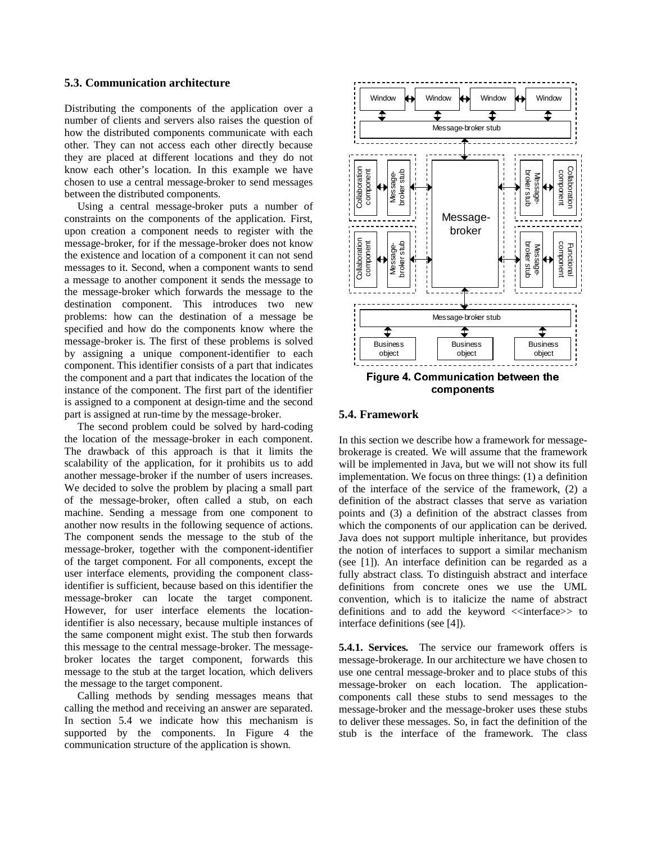#### **5.3.Communication architecture**

Distributing the components of the application over a number of clients and servers also raises the question of how the distributed components communicate with each other. They can not access each other directly because they are placed at different locations and they do not know each other's location. In this example we have chosen to use a central message-broker to send messages between the distributed components.

Using a central message-broker puts a number of constraints on the components of the application. First, upon creation a component needs to register with the message-broker, for if the message-broker does not know the existence and location of a component it can not send messages to it. Second, when a component wants to send a message to another component it sends the message to the message-broker which forwards the message to the destination component. This introduces two new problems: how can the destination of a message be specified and how do the components know where the message-broker is. The first of these problems is solved by assigning a unique component-identifier to each component. This identifier consists of a part that indicates the component and a part that indicates the location of the instance of the component. The first part of the identifier is assigned to a component at design-time and the second part is assigned at run-time by the message-broker.

The second problem could be solved by hard-coding the location of the message-broker in each component. The drawback of this approach is that it limits the scalability of the application, for it prohibits us to add another message-broker if the number of users increases. We decided to solve the problem by placing a small part of the message-broker, often called a stub, on each machine. Sending a message from one component to another now results in the following sequence of actions. The component sends the message to the stub of the message-broker, together with the component-identifier of the target component. For all components, except the user interface elements, providing the component classidentifier is sufficient, because based on this identifier the message-broker can locate the target component. However, for user interface elements the locationidentifier is also necessary, because multiple instances of the same component might exist. The stub then forwards this message to the central message-broker. The messagebroker locates the target component, forwards this message to the stub at the target location, which delivers the message to the target component.

Calling methods by sending messages means that calling the method and receiving an answer are separated. In section 5.4 we indicate how this mechanism is supported by the components. In Figure 4 the communication structure of the application is shown.



Figure 4, Communication between the components

## **5.4.Framework**

In this section we describe how a framework for messagebrokerage is created. We will assume that the framework will be implemented in Java, but we will not show its full implementation. We focus on three things: (1) a definition of the interface of the service of the framework, (2) a definition of the abstract classes that serve as variation points and (3) a definition of the abstract classes from which the components of our application can be derived. Java does not support multiple inheritance, but provides the notion of interfaces to support a similar mechanism (see [1]). An interface definition can be regarded as a fully abstract class. To distinguish abstract and interface definitions from concrete ones we use the UML convention, which is to italicize the name of abstract definitions and to add the keyword  $\le$ interface  $>$  to interface definitions (see [4]).

**5.4.1. Services.** The service our framework offers is message-brokerage. In our architecture we have chosen to use one central message-broker and to place stubs of this message-broker on each location. The applicationcomponents call these stubs to send messages to the message-broker and the message-broker uses these stubs to deliver these messages. So, in fact the definition of the stub is the interface of the framework. The class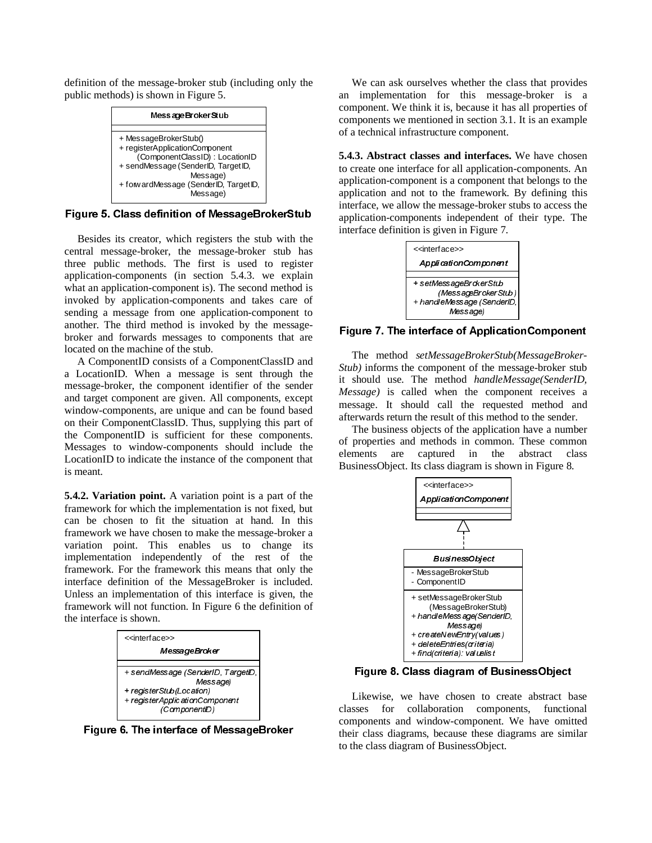definition of the message-broker stub (including only the public methods) is shown in Figure 5.

| MessageBrokerStub                                                                                                                                                                                 |
|---------------------------------------------------------------------------------------------------------------------------------------------------------------------------------------------------|
| + MessageBrokerStub()<br>+ registerApplicationComponent<br>(ComponentClassID): LocationID<br>+ sendMessage (SenderID, TargetID,<br>Message)<br>+ forw ardMessage (SenderID, TargetID,<br>Message) |

Figure 5. Class definition of MessageBrokerStub

Besides its creator, which registers the stub with the central message-broker, the message-broker stub has three public methods. The first is used to register application-components (in section 5.4.3. we explain what an application-component is). The second method is invoked by application-components and takes care of sending a message from one application-component to another. The third method is invoked by the messagebroker and forwards messages to components that are located on the machine of the stub.

A ComponentID consists of a ComponentClassID and a LocationID. When a message is sent through the message-broker, the component identifier of the sender and target component are given. All components, except window-components, are unique and can be found based on their ComponentClassID. Thus, supplying this part of the ComponentID is sufficient for these components. Messages to window-components should include the LocationID to indicate the instance of the component that is meant.

**5.4.2. Variation point.** A variation point is a part of the framework for which the implementation is not fixed, but can be chosen to fit the situation at hand. In this framework we have chosen to make the message-broker a variation point. This enables us to change its implementation independently of the rest of the framework. For the framework this means that only the interface definition of the MessageBroker is included. Unless an implementation of this interface is given, the framework will not function. In Figure 6 the definition of the interface is shown.



Figure 6. The interface of MessageBroker

We can ask ourselves whether the class that provides an implementation for this message-broker is a component. We think it is, because it has all properties of components we mentioned in section 3.1. It is an example of a technical infrastructure component.

**5.4.3. Abstract classes and interfaces.** We have chosen to create one interface for all application-components. An application-component is a component that belongs to the application and not to the framework. By defining this interface, we allow the message-broker stubs to access the application-components independent of their type. The interface definition is given in Figure 7.

| < <interface>&gt;</interface> |
|-------------------------------|
| Application Component         |
|                               |
| + setMessageBrokerStub        |
| (MessageBrokerStub)           |
| + handleMessage (SenderID,    |
| Message)                      |

Figure 7. The interface of ApplicationComponent

The method *setMessageBrokerStub(MessageBroker-Stub)* informs the component of the message-broker stub it should use. The method *handleMessage(SenderID, Message)* is called when the component receives a message. It should call the requested method and afterwards return the result of this method to the sender.

The business objects of the application have a number of properties and methods in common. These common elements are captured in the abstract class BusinessObject. Its class diagram is shown in Figure 8.



Figure 8. Class diagram of BusinessObject

Likewise, we have chosen to create abstract base classes for collaboration components, functional components and window-component. We have omitted their class diagrams, because these diagrams are similar to the class diagram of BusinessObject.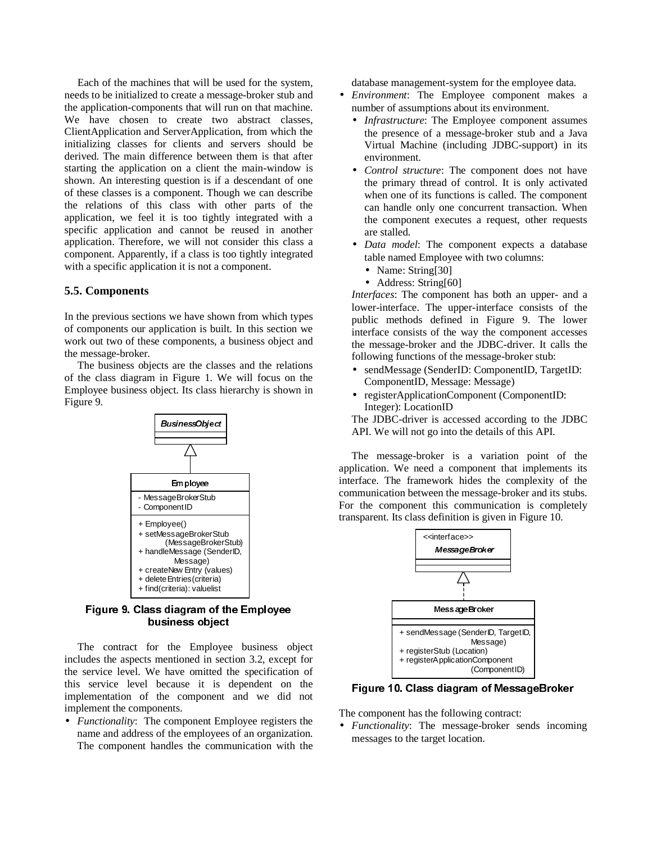Each of the machines that will be used for the system, needs to be initialized to create a message-broker stub and the application-components that will run on that machine. We have chosen to create two abstract classes, ClientApplication and ServerApplication, from which the initializing classes for clients and servers should be derived. The main difference between them is that after starting the application on a client the main-window is shown. An interesting question is if a descendant of one of these classes is a component. Though we can describe the relations of this class with other parts of the application, we feel it is too tightly integrated with a specific application and cannot be reused in another application. Therefore, we will not consider this class a component. Apparently, if a class is too tightly integrated with a specific application it is not a component.

#### **5.5.Components**

In the previous sections we have shown from which types of components our application is built. In this section we work out two of these components, a business object and the message-broker.

The business objects are the classes and the relations of the class diagram in Figure 1. We will focus on the Employee business object. Its class hierarchy is shown in Figure 9.



Figure 9. Class diagram of the Employee business object

The contract for the Employee business object includes the aspects mentioned in section 3.2, except for the service level. We have omitted the specification of this service level because it is dependent on the implementation of the component and we did not implement the components.

• *Functionality*: The component Employee registers the name and address of the employees of an organization. The component handles the communication with the

database management-system for the employee data.

- *Environment*: The Employee component makes a number of assumptions about its environment.
	- *Infrastructure*: The Employee component assumes the presence of a message-broker stub and a Java Virtual Machine (including JDBC-support) in its environment.
	- *Control structure*: The component does not have the primary thread of control. It is only activated when one of its functions is called. The component can handle only one concurrent transaction. When the component executes a request, other requests are stalled.
	- *Data model*: The component expects a database table named Employee with two columns:
		- Name: String[30]
		- Address: String[60]

*Interfaces*: The component has both an upper- and a lower-interface. The upper-interface consists of the public methods defined in Figure 9. The lower interface consists of the way the component accesses the message-broker and the JDBC-driver. It calls the following functions of the message-broker stub:

- sendMessage (SenderID: ComponentID, TargetID: ComponentID, Message: Message)
- registerApplicationComponent (ComponentID: Integer): LocationID

The JDBC-driver is accessed according to the JDBC API. We will not go into the details of this API.

The message-broker is a variation point of the application. We need a component that implements its interface. The framework hides the complexity of the communication between the message-broker and its stubs. For the component this communication is completely transparent. Its class definition is given in Figure 10.



Figure 10. Class diagram of MessageBroker

The component has the following contract:

• *Functionality*: The message-broker sends incoming messages to the target location.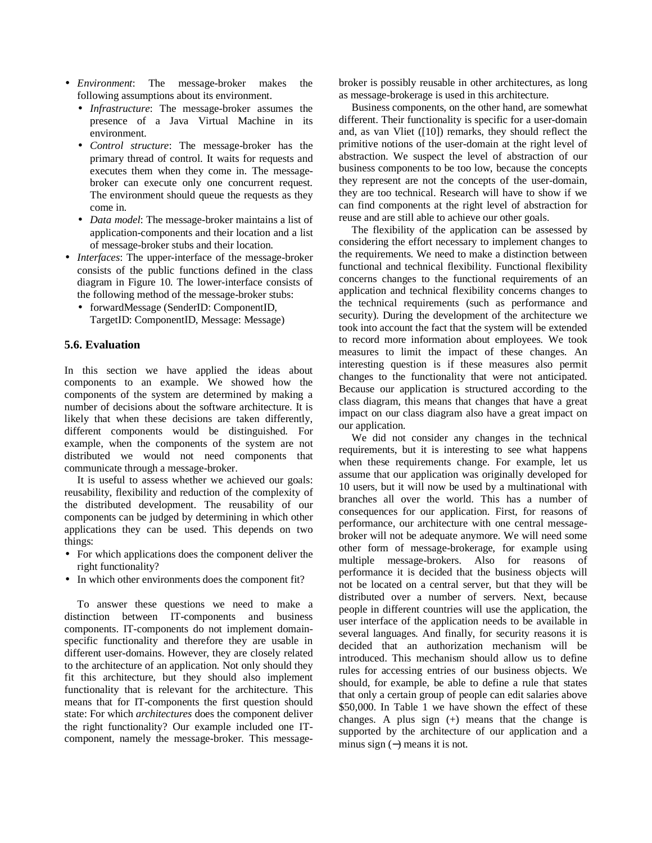- *Environment*: The message-broker makes the following assumptions about its environment.
	- *Infrastructure*: The message-broker assumes the presence of a Java Virtual Machine in its environment.
	- *Control structure*: The message-broker has the primary thread of control. It waits for requests and executes them when they come in. The messagebroker can execute only one concurrent request. The environment should queue the requests as they come in.
	- *Data model*: The message-broker maintains a list of application-components and their location and a list of message-broker stubs and their location.
- *Interfaces*: The upper-interface of the message-broker consists of the public functions defined in the class diagram in Figure 10. The lower-interface consists of the following method of the message-broker stubs:
	- forwardMessage (SenderID: ComponentID, TargetID: ComponentID, Message: Message)

## **5.6.Evaluation**

In this section we have applied the ideas about components to an example. We showed how the components of the system are determined by making a number of decisions about the software architecture. It is likely that when these decisions are taken differently, different components would be distinguished. For example, when the components of the system are not distributed we would not need components that communicate through a message-broker.

It is useful to assess whether we achieved our goals: reusability, flexibility and reduction of the complexity of the distributed development. The reusability of our components can be judged by determining in which other applications they can be used. This depends on two things:

- For which applications does the component deliver the right functionality?
- In which other environments does the component fit?

To answer these questions we need to make a distinction between IT-components and business components. IT-components do not implement domainspecific functionality and therefore they are usable in different user-domains. However, they are closely related to the architecture of an application. Not only should they fit this architecture, but they should also implement functionality that is relevant for the architecture. This means that for IT-components the first question should state: For which *architectures* does the component deliver the right functionality? Our example included one ITcomponent, namely the message-broker. This messagebroker is possibly reusable in other architectures, as long as message-brokerage is used in this architecture.

Business components, on the other hand, are somewhat different. Their functionality is specific for a user-domain and, as van Vliet ([10]) remarks, they should reflect the primitive notions of the user-domain at the right level of abstraction. We suspect the level of abstraction of our business components to be too low, because the concepts they represent are not the concepts of the user-domain, they are too technical. Research will have to show if we can find components at the right level of abstraction for reuse and are still able to achieve our other goals.

The flexibility of the application can be assessed by considering the effort necessary to implement changes to the requirements. We need to make a distinction between functional and technical flexibility. Functional flexibility concerns changes to the functional requirements of an application and technical flexibility concerns changes to the technical requirements (such as performance and security). During the development of the architecture we took into account the fact that the system will be extended to record more information about employees. We took measures to limit the impact of these changes. An interesting question is if these measures also permit changes to the functionality that were not anticipated. Because our application is structured according to the class diagram, this means that changes that have a great impact on our class diagram also have a great impact on our application.

We did not consider any changes in the technical requirements, but it is interesting to see what happens when these requirements change. For example, let us assume that our application was originally developed for 10 users, but it will now be used by a multinational with branches all over the world. This has a number of consequences for our application. First, for reasons of performance, our architecture with one central messagebroker will not be adequate anymore. We will need some other form of message-brokerage, for example using multiple message-brokers. Also for reasons of performance it is decided that the business objects will not be located on a central server, but that they will be distributed over a number of servers. Next, because people in different countries will use the application, the user interface of the application needs to be available in several languages. And finally, for security reasons it is decided that an authorization mechanism will be introduced. This mechanism should allow us to define rules for accessing entries of our business objects. We should, for example, be able to define a rule that states that only a certain group of people can edit salaries above \$50,000. In Table 1 we have shown the effect of these changes. A plus sign (+) means that the change is supported by the architecture of our application and a minus sign  $(-)$  means it is not.